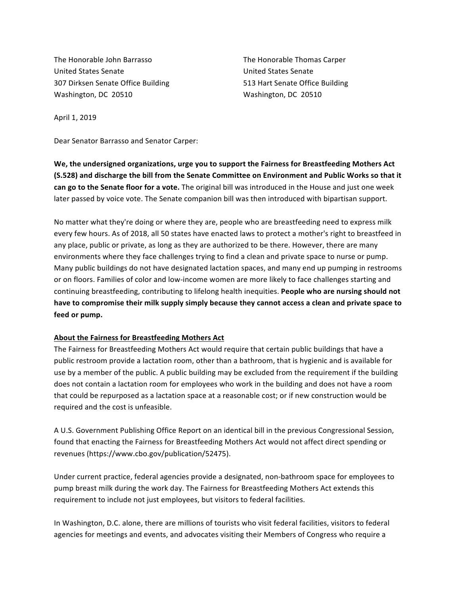The Honorable John Barrasso The Honorable Thomas Carper United States Senate United States Senate 307 Dirksen Senate Office Building 613 Hart Senate Office Building Washington, DC 20510 Washington, DC 20510

April 1, 2019

Dear Senator Barrasso and Senator Carper:

We, the undersigned organizations, urge you to support the Fairness for Breastfeeding Mothers Act **(S.528)** and discharge the bill from the Senate Committee on Environment and Public Works so that it can go to the Senate floor for a vote. The original bill was introduced in the House and just one week later passed by voice vote. The Senate companion bill was then introduced with bipartisan support.

No matter what they're doing or where they are, people who are breastfeeding need to express milk every few hours. As of 2018, all 50 states have enacted laws to protect a mother's right to breastfeed in any place, public or private, as long as they are authorized to be there. However, there are many environments where they face challenges trying to find a clean and private space to nurse or pump. Many public buildings do not have designated lactation spaces, and many end up pumping in restrooms or on floors. Families of color and low-income women are more likely to face challenges starting and continuing breastfeeding, contributing to lifelong health inequities. People who are nursing should not have to compromise their milk supply simply because they cannot access a clean and private space to feed or pump.

#### **About the Fairness for Breastfeeding Mothers Act**

The Fairness for Breastfeeding Mothers Act would require that certain public buildings that have a public restroom provide a lactation room, other than a bathroom, that is hygienic and is available for use by a member of the public. A public building may be excluded from the requirement if the building does not contain a lactation room for employees who work in the building and does not have a room that could be repurposed as a lactation space at a reasonable cost; or if new construction would be required and the cost is unfeasible.

A U.S. Government Publishing Office Report on an identical bill in the previous Congressional Session, found that enacting the Fairness for Breastfeeding Mothers Act would not affect direct spending or revenues (https://www.cbo.gov/publication/52475).

Under current practice, federal agencies provide a designated, non-bathroom space for employees to pump breast milk during the work day. The Fairness for Breastfeeding Mothers Act extends this requirement to include not just employees, but visitors to federal facilities.

In Washington, D.C. alone, there are millions of tourists who visit federal facilities, visitors to federal agencies for meetings and events, and advocates visiting their Members of Congress who require a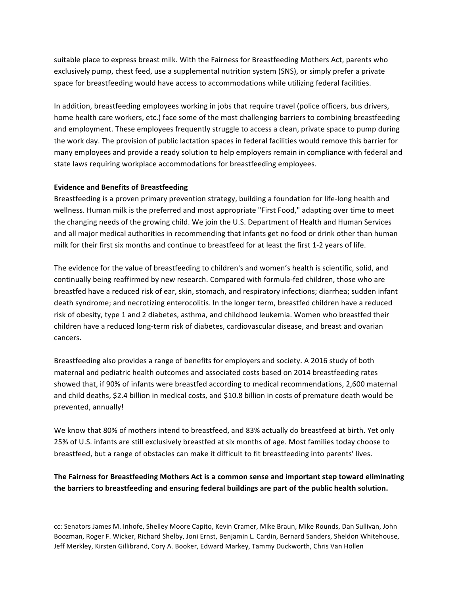suitable place to express breast milk. With the Fairness for Breastfeeding Mothers Act, parents who exclusively pump, chest feed, use a supplemental nutrition system (SNS), or simply prefer a private space for breastfeeding would have access to accommodations while utilizing federal facilities.

In addition, breastfeeding employees working in jobs that require travel (police officers, bus drivers, home health care workers, etc.) face some of the most challenging barriers to combining breastfeeding and employment. These employees frequently struggle to access a clean, private space to pump during the work day. The provision of public lactation spaces in federal facilities would remove this barrier for many employees and provide a ready solution to help employers remain in compliance with federal and state laws requiring workplace accommodations for breastfeeding employees.

# **Evidence and Benefits of Breastfeeding**

Breastfeeding is a proven primary prevention strategy, building a foundation for life-long health and wellness. Human milk is the preferred and most appropriate "First Food," adapting over time to meet the changing needs of the growing child. We join the U.S. Department of Health and Human Services and all major medical authorities in recommending that infants get no food or drink other than human milk for their first six months and continue to breastfeed for at least the first 1-2 years of life.

The evidence for the value of breastfeeding to children's and women's health is scientific, solid, and continually being reaffirmed by new research. Compared with formula-fed children, those who are breastfed have a reduced risk of ear, skin, stomach, and respiratory infections; diarrhea; sudden infant death syndrome; and necrotizing enterocolitis. In the longer term, breastfed children have a reduced risk of obesity, type 1 and 2 diabetes, asthma, and childhood leukemia. Women who breastfed their children have a reduced long-term risk of diabetes, cardiovascular disease, and breast and ovarian cancers. 

Breastfeeding also provides a range of benefits for employers and society. A 2016 study of both maternal and pediatric health outcomes and associated costs based on 2014 breastfeeding rates showed that, if 90% of infants were breastfed according to medical recommendations, 2,600 maternal and child deaths, \$2.4 billion in medical costs, and \$10.8 billion in costs of premature death would be prevented, annually!

We know that 80% of mothers intend to breastfeed, and 83% actually do breastfeed at birth. Yet only 25% of U.S. infants are still exclusively breastfed at six months of age. Most families today choose to breastfeed, but a range of obstacles can make it difficult to fit breastfeeding into parents' lives.

The Fairness for Breastfeeding Mothers Act is a common sense and important step toward eliminating the barriers to breastfeeding and ensuring federal buildings are part of the public health solution.

cc: Senators James M. Inhofe, Shelley Moore Capito, Kevin Cramer, Mike Braun, Mike Rounds, Dan Sullivan, John Boozman, Roger F. Wicker, Richard Shelby, Joni Ernst, Benjamin L. Cardin, Bernard Sanders, Sheldon Whitehouse, Jeff Merkley, Kirsten Gillibrand, Cory A. Booker, Edward Markey, Tammy Duckworth, Chris Van Hollen